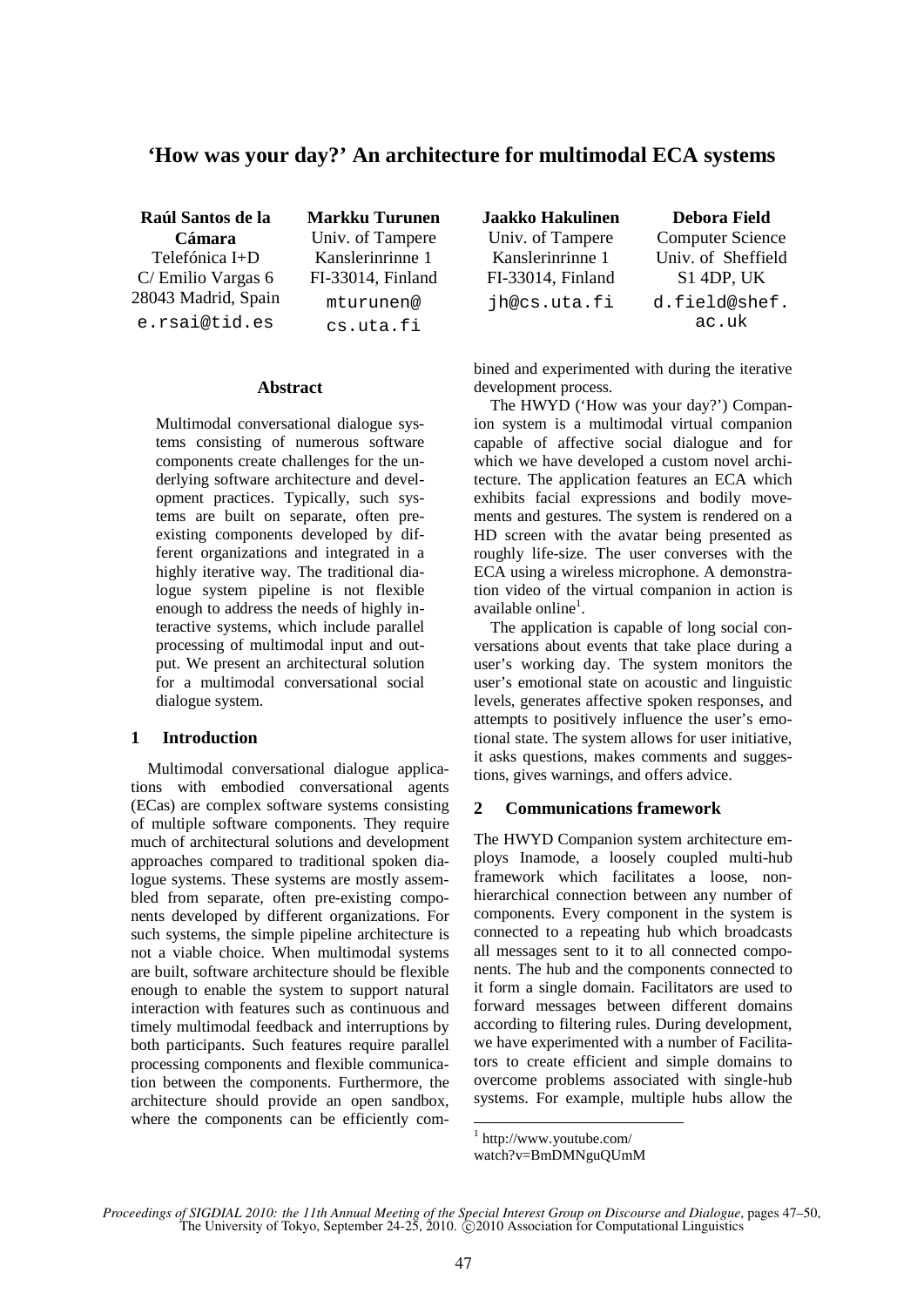# **'How was your day?' An architecture for multimodal ECA systems**

**Raúl Santos de la Cámara**  Telefónica I+D C/ Emilio Vargas 6 28043 Madrid, Spain e.rsai@tid.es

**Markku Turunen**  Univ. of Tampere Kanslerinrinne 1 FI-33014, Finland mturunen@ cs.uta.fi

## **Abstract**

Multimodal conversational dialogue systems consisting of numerous software components create challenges for the underlying software architecture and development practices. Typically, such systems are built on separate, often preexisting components developed by different organizations and integrated in a highly iterative way. The traditional dialogue system pipeline is not flexible enough to address the needs of highly interactive systems, which include parallel processing of multimodal input and output. We present an architectural solution for a multimodal conversational social dialogue system.

# **1 Introduction**

Multimodal conversational dialogue applications with embodied conversational agents (ECas) are complex software systems consisting of multiple software components. They require much of architectural solutions and development approaches compared to traditional spoken dialogue systems. These systems are mostly assembled from separate, often pre-existing components developed by different organizations. For such systems, the simple pipeline architecture is not a viable choice. When multimodal systems are built, software architecture should be flexible enough to enable the system to support natural interaction with features such as continuous and timely multimodal feedback and interruptions by both participants. Such features require parallel processing components and flexible communication between the components. Furthermore, the architecture should provide an open sandbox, where the components can be efficiently com**Jaakko Hakulinen**  Univ. of Tampere Kanslerinrinne 1 FI-33014, Finland jh@cs.uta.fi **Debora Field**  Computer Science Univ. of Sheffield S1 4DP, UK d.field@shef. ac.uk

bined and experimented with during the iterative development process.

The HWYD ('How was your day?') Companion system is a multimodal virtual companion capable of affective social dialogue and for which we have developed a custom novel architecture. The application features an ECA which exhibits facial expressions and bodily movements and gestures. The system is rendered on a HD screen with the avatar being presented as roughly life-size. The user converses with the ECA using a wireless microphone. A demonstration video of the virtual companion in action is available online<sup>1</sup>.

The application is capable of long social conversations about events that take place during a user's working day. The system monitors the user's emotional state on acoustic and linguistic levels, generates affective spoken responses, and attempts to positively influence the user's emotional state. The system allows for user initiative, it asks questions, makes comments and suggestions, gives warnings, and offers advice.

# **2 Communications framework**

The HWYD Companion system architecture employs Inamode, a loosely coupled multi-hub framework which facilitates a loose, nonhierarchical connection between any number of components. Every component in the system is connected to a repeating hub which broadcasts all messages sent to it to all connected components. The hub and the components connected to it form a single domain. Facilitators are used to forward messages between different domains according to filtering rules. During development, we have experimented with a number of Facilitators to create efficient and simple domains to overcome problems associated with single-hub systems. For example, multiple hubs allow the

<sup>1</sup> http://www.youtube.com/

watch?v=BmDMNguQUmM

*Proceedings of SIGDIAL 2010: the 11th Annual Meeting of the Special Interest Group on Discourse and Dialogue*, pages 47–50, The University of Tokyo, September 24-25, 2010.  $\odot$  2010 Association for Computational Linguistics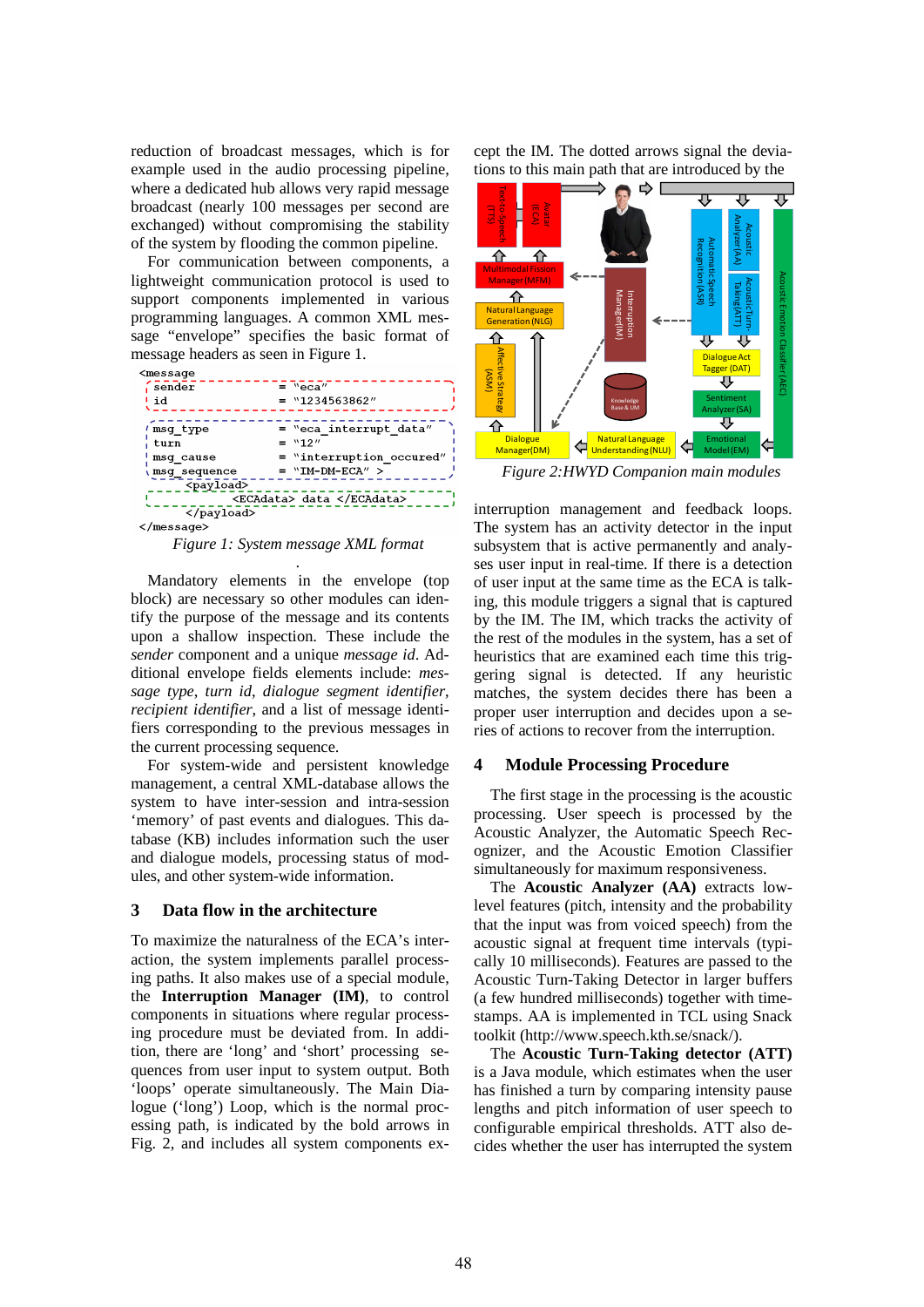reduction of broadcast messages, which is for example used in the audio processing pipeline, where a dedicated hub allows very rapid message broadcast (nearly 100 messages per second are exchanged) without compromising the stability of the system by flooding the common pipeline.

For communication between components, a lightweight communication protocol is used to support components implemented in various programming languages. A common XML message "envelope" specifies the basic format of message headers as seen in Figure 1.

| <message< th=""><th></th></message<> |                           |
|--------------------------------------|---------------------------|
| sender                               | $=$ "eca"                 |
| ∣ id                                 | $=$ "1234563862"          |
|                                      |                           |
| 'msg type                            | $=$ "eca interrupt data"  |
| turn                                 | $=$ "12"                  |
| msg cause                            | = "interruption occured"  |
| <b>nsg_sequence</b>                  | $= "IM-DM-ECA"$           |
| <payload></payload>                  |                           |
|                                      | <ecadata> data </ecadata> |
| $\langle$ /payload>                  |                           |
| $\langle$ /message $\rangle$         |                           |

*Figure 1: System message XML format .*

Mandatory elements in the envelope (top block) are necessary so other modules can identify the purpose of the message and its contents upon a shallow inspection. These include the *sender* component and a unique *message id*. Additional envelope fields elements include: *message type*, *turn id*, *dialogue segment identifier*, *recipient identifier*, and a list of message identifiers corresponding to the previous messages in the current processing sequence.

For system-wide and persistent knowledge management, a central XML-database allows the system to have inter-session and intra-session 'memory' of past events and dialogues. This database (KB) includes information such the user and dialogue models, processing status of modules, and other system-wide information.

#### **3 Data flow in the architecture**

To maximize the naturalness of the ECA's interaction, the system implements parallel processing paths. It also makes use of a special module, the **Interruption Manager (IM)**, to control components in situations where regular processing procedure must be deviated from. In addition, there are 'long' and 'short' processing sequences from user input to system output. Both 'loops' operate simultaneously. The Main Dialogue ('long') Loop, which is the normal processing path, is indicated by the bold arrows in Fig. 2, and includes all system components except the IM. The dotted arrows signal the deviations to this main path that are introduced by the



*Figure 2:HWYD Companion main modules* 

interruption management and feedback loops. The system has an activity detector in the input subsystem that is active permanently and analyses user input in real-time. If there is a detection of user input at the same time as the ECA is talking, this module triggers a signal that is captured by the IM. The IM, which tracks the activity of the rest of the modules in the system, has a set of heuristics that are examined each time this triggering signal is detected. If any heuristic matches, the system decides there has been a proper user interruption and decides upon a series of actions to recover from the interruption.

#### **4 Module Processing Procedure**

The first stage in the processing is the acoustic processing. User speech is processed by the Acoustic Analyzer, the Automatic Speech Recognizer, and the Acoustic Emotion Classifier simultaneously for maximum responsiveness.

The **Acoustic Analyzer (AA)** extracts lowlevel features (pitch, intensity and the probability that the input was from voiced speech) from the acoustic signal at frequent time intervals (typically 10 milliseconds). Features are passed to the Acoustic Turn-Taking Detector in larger buffers (a few hundred milliseconds) together with timestamps. AA is implemented in TCL using Snack toolkit (http://www.speech.kth.se/snack/).

The **Acoustic Turn-Taking detector (ATT)** is a Java module, which estimates when the user has finished a turn by comparing intensity pause lengths and pitch information of user speech to configurable empirical thresholds. ATT also decides whether the user has interrupted the system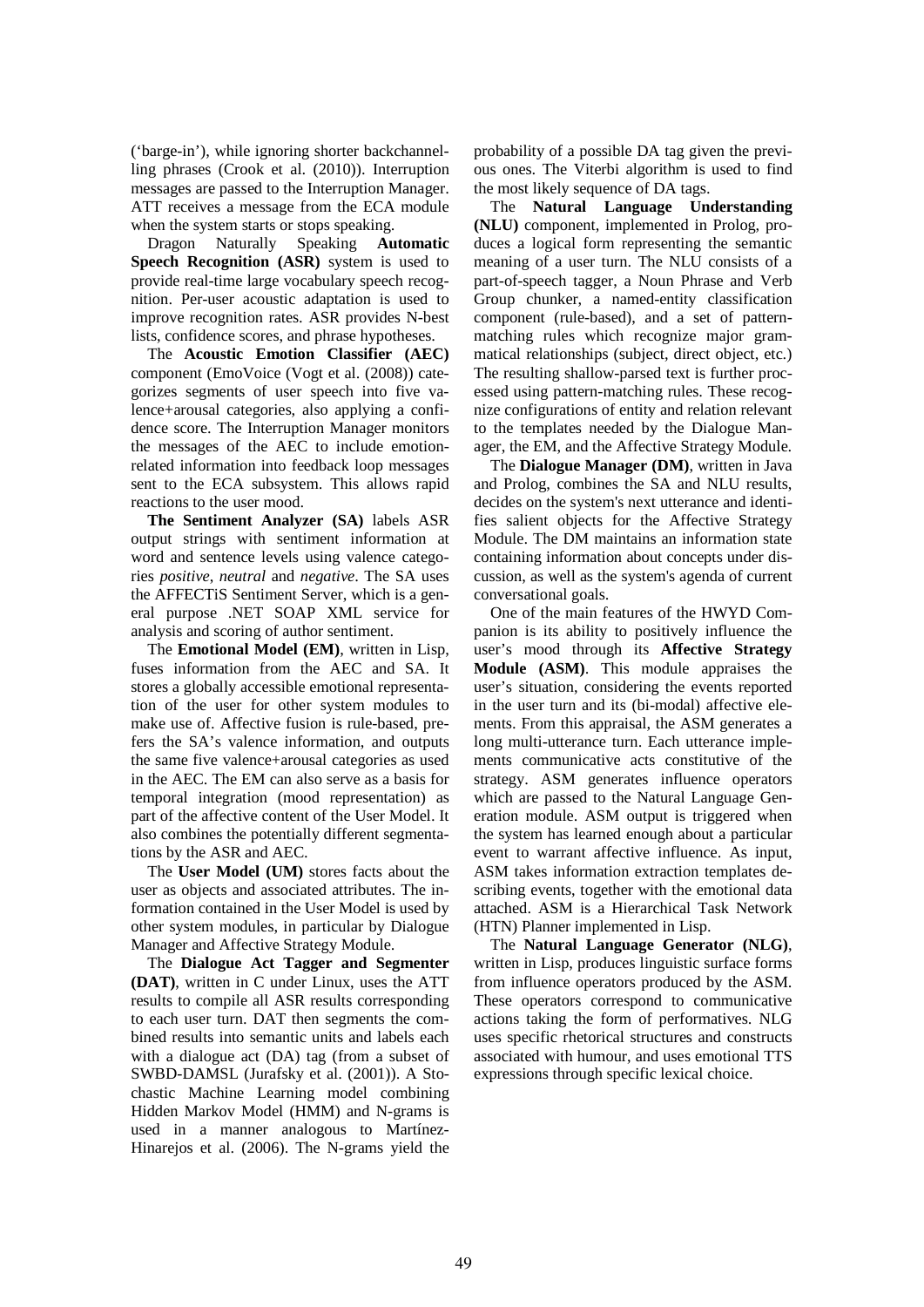('barge-in'), while ignoring shorter backchannelling phrases (Crook et al. (2010)). Interruption messages are passed to the Interruption Manager. ATT receives a message from the ECA module when the system starts or stops speaking.

Dragon Naturally Speaking **Automatic Speech Recognition (ASR)** system is used to provide real-time large vocabulary speech recognition. Per-user acoustic adaptation is used to improve recognition rates. ASR provides N-best lists, confidence scores, and phrase hypotheses.

The **Acoustic Emotion Classifier (AEC)** component (EmoVoice (Vogt et al. (2008)) categorizes segments of user speech into five valence+arousal categories, also applying a confidence score. The Interruption Manager monitors the messages of the AEC to include emotionrelated information into feedback loop messages sent to the ECA subsystem. This allows rapid reactions to the user mood.

**The Sentiment Analyzer (SA)** labels ASR output strings with sentiment information at word and sentence levels using valence categories *positive*, *neutral* and *negative*. The SA uses the AFFECTiS Sentiment Server, which is a general purpose .NET SOAP XML service for analysis and scoring of author sentiment.

The **Emotional Model (EM)**, written in Lisp, fuses information from the AEC and SA. It stores a globally accessible emotional representation of the user for other system modules to make use of. Affective fusion is rule-based, prefers the SA's valence information, and outputs the same five valence+arousal categories as used in the AEC. The EM can also serve as a basis for temporal integration (mood representation) as part of the affective content of the User Model. It also combines the potentially different segmentations by the ASR and AEC.

The **User Model (UM)** stores facts about the user as objects and associated attributes. The information contained in the User Model is used by other system modules, in particular by Dialogue Manager and Affective Strategy Module.

The **Dialogue Act Tagger and Segmenter (DAT)**, written in C under Linux, uses the ATT results to compile all ASR results corresponding to each user turn. DAT then segments the combined results into semantic units and labels each with a dialogue act (DA) tag (from a subset of SWBD-DAMSL (Jurafsky et al. (2001)). A Stochastic Machine Learning model combining Hidden Markov Model (HMM) and N-grams is used in a manner analogous to Martínez-Hinarejos et al. (2006). The N-grams yield the probability of a possible DA tag given the previous ones. The Viterbi algorithm is used to find the most likely sequence of DA tags.

The **Natural Language Understanding (NLU)** component, implemented in Prolog, produces a logical form representing the semantic meaning of a user turn. The NLU consists of a part-of-speech tagger, a Noun Phrase and Verb Group chunker, a named-entity classification component (rule-based), and a set of patternmatching rules which recognize major grammatical relationships (subject, direct object, etc.) The resulting shallow-parsed text is further processed using pattern-matching rules. These recognize configurations of entity and relation relevant to the templates needed by the Dialogue Manager, the EM, and the Affective Strategy Module.

The **Dialogue Manager (DM)**, written in Java and Prolog, combines the SA and NLU results, decides on the system's next utterance and identifies salient objects for the Affective Strategy Module. The DM maintains an information state containing information about concepts under discussion, as well as the system's agenda of current conversational goals.

One of the main features of the HWYD Companion is its ability to positively influence the user's mood through its **Affective Strategy Module (ASM)**. This module appraises the user's situation, considering the events reported in the user turn and its (bi-modal) affective elements. From this appraisal, the ASM generates a long multi-utterance turn. Each utterance implements communicative acts constitutive of the strategy. ASM generates influence operators which are passed to the Natural Language Generation module. ASM output is triggered when the system has learned enough about a particular event to warrant affective influence. As input, ASM takes information extraction templates describing events, together with the emotional data attached. ASM is a Hierarchical Task Network (HTN) Planner implemented in Lisp.

The **Natural Language Generator (NLG)**, written in Lisp, produces linguistic surface forms from influence operators produced by the ASM. These operators correspond to communicative actions taking the form of performatives. NLG uses specific rhetorical structures and constructs associated with humour, and uses emotional TTS expressions through specific lexical choice.